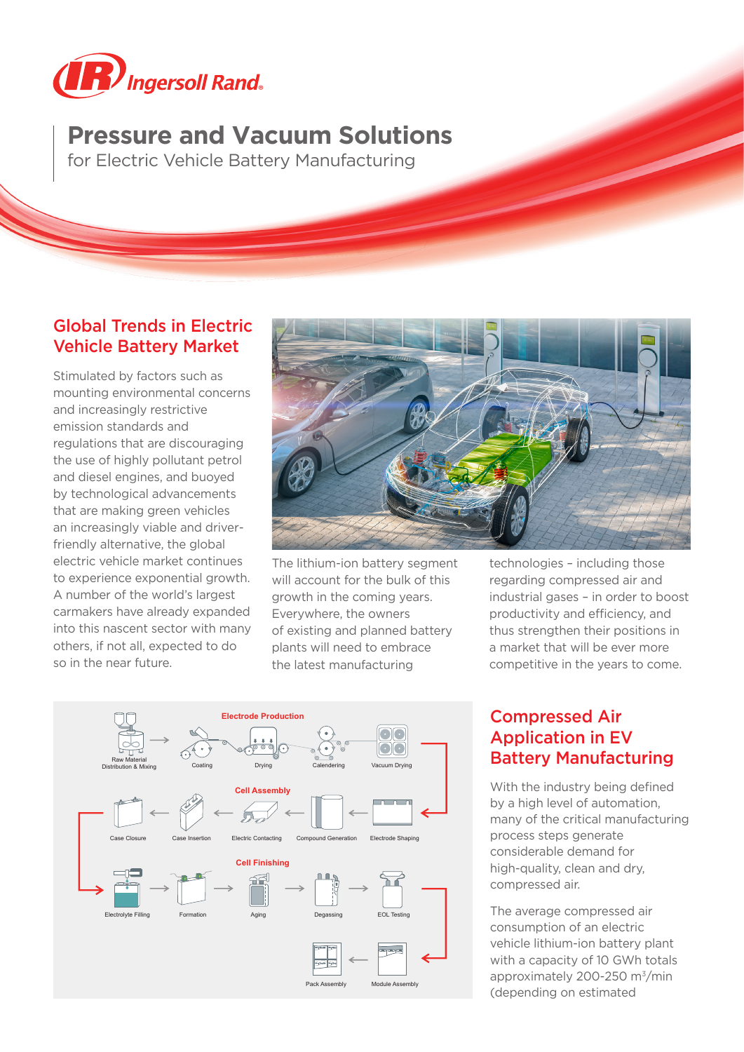

# **Pressure and Vacuum Solutions**

for Electric Vehicle Battery Manufacturing

### Global Trends in Electric Vehicle Battery Market

Stimulated by factors such as mounting environmental concerns and increasingly restrictive emission standards and regulations that are discouraging the use of highly pollutant petrol and diesel engines, and buoyed by technological advancements that are making green vehicles an increasingly viable and driverfriendly alternative, the global electric vehicle market continues to experience exponential growth. A number of the world's largest carmakers have already expanded into this nascent sector with many others, if not all, expected to do so in the near future.



The lithium-ion battery segment will account for the bulk of this growth in the coming years. Everywhere, the owners of existing and planned battery plants will need to embrace the latest manufacturing

technologies – including those regarding compressed air and industrial gases – in order to boost productivity and efficiency, and thus strengthen their positions in a market that will be ever more competitive in the years to come.



## Compressed Air Application in EV Battery Manufacturing

With the industry being defined by a high level of automation, many of the critical manufacturing process steps generate considerable demand for high-quality, clean and dry, compressed air.

The average compressed air consumption of an electric vehicle lithium-ion battery plant with a capacity of 10 GWh totals approximately 200-250 m<sup>3</sup>/min (depending on estimated